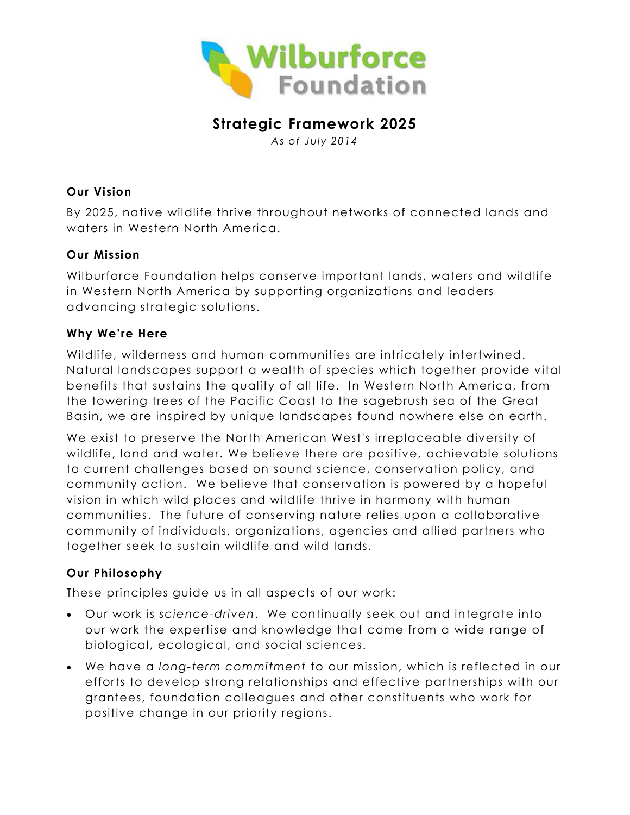

# **Strategic Framework 2025**

*As of July 2014*

## **Our Vision**

By 2025, native wildlife thrive throughout networks of connected lands and waters in Western North America.

# **Our Mission**

Wilburforce Foundation helps conserve important lands, waters and wildlife in Western North America by supporting organizations and leaders advancing strategic solutions.

# **Why We' re Here**

Wildlife, wilderness and human communities are intricately intertwined. Natural landscapes support a wealth of species which together provide vital benefits that sustains the quality of all life. In Western North America, from the towering trees of the Pacific Coast to the sagebrush sea of the Great Basin, we are inspired by unique landscapes found nowhere else on earth.

We exist to preserve the North American West's irreplaceable diversity of wildlife, land and water. We believe there are positive, achievable solutions to current challenges based on sound science, conservation policy, and community action. We believe that conservation is powered by a hopeful vision in which wild places and wildlife thrive in harmony with human communities. The future of conserving nature relies upon a collaborative community of individuals, organizations, agencies and allied partners who together seek to sustain wildlife and wild lands.

# **Our Philosophy**

These principles guide us in all aspects of our work:

- Our work is *science-driven*. We continually seek out and integrate into our work the expertise and knowledge that come from a wide range of biological, ecological, and social sciences.
- We have a *long-term commitment* to our mission, which is reflected in our efforts to develop strong relationships and effective partnerships with our grantees, foundation colleagues and other constituents who work for positive change in our priority regions.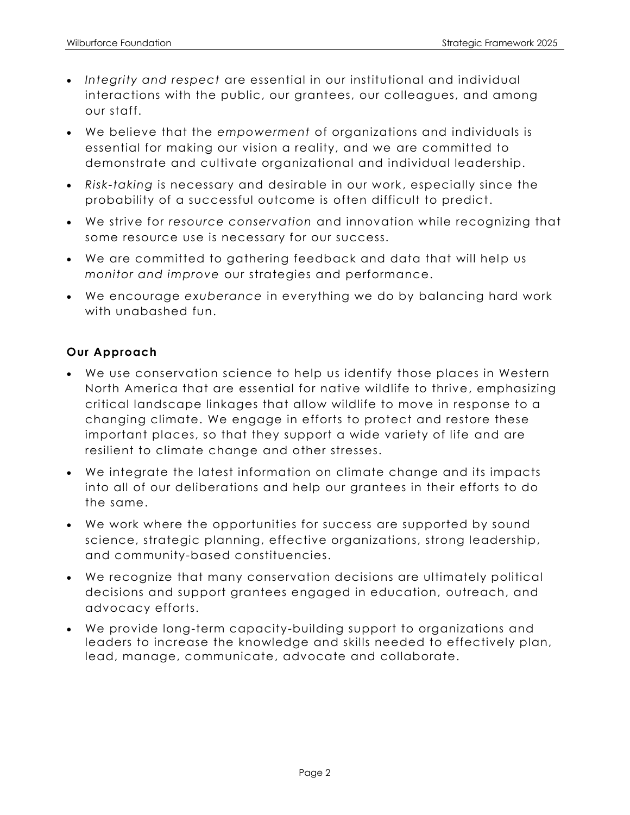- *Integrity and respect* are essential in our institutional and individual interactions with the public, our grantees, our colleagues, and among our staff.
- We believe that the *empowerment* of organizations and individuals is essential for making our vision a reality, and we are committed to demonstrate and cultivate organizational and individual leadership.
- *Risk-taking* is necessary and desirable in our work , especially since the probability of a successful outcome is often difficult to predict.
- We strive for *resource conservation* and innovation while recognizing that some resource use is necessary for our success.
- We are committed to gathering feedback and data that will help us *monitor and improve* our strategies and performance.
- We encourage *exuberance* in everything we do by balancing hard work with unabashed fun.

# **Our Approach**

- We use conservation science to help us identify those places in Western North America that are essential for native wildlife to thrive, emphasizing critical landscape linkages that allow wildlife to move in response to a changing climate. We engage in efforts to protect and restore these important places, so that they support a wide variety of life and are resilient to climate change and other stresses.
- We integrate the latest information on climate change and its impacts into all of our deliberations and help our grantees in their efforts to do the same.
- We work where the opportunities for success are supported by sound science, strategic planning, effective organizations, strong leadership, and community-based constituencies.
- We recognize that many conservation decisions are ultimately political decisions and support grantees engaged in education, outreach, and advocacy efforts.
- We provide long-term capacity-building support to organizations and leaders to increase the knowledge and skills needed to effectively plan, lead, manage, communicate, advocate and collaborate.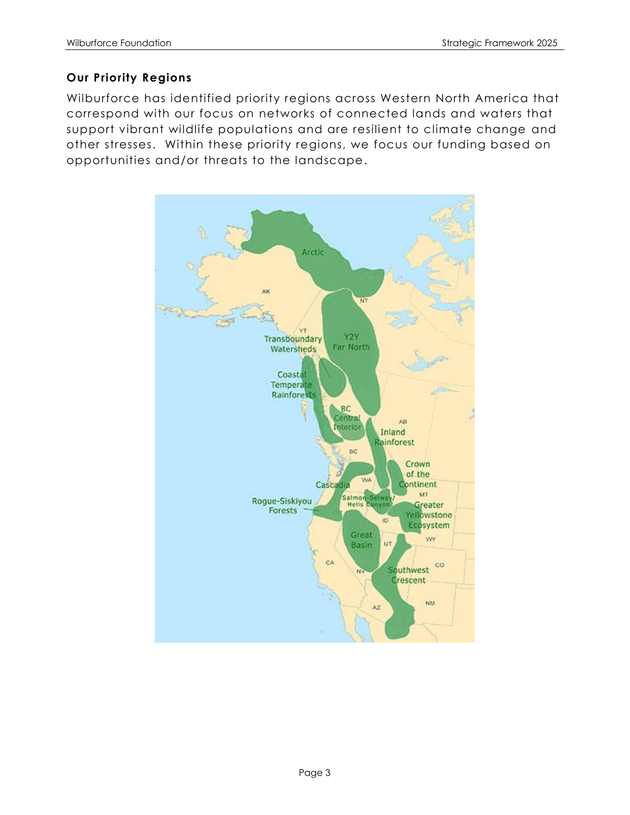## **Our Priority Regions**

Wilburforce has identified priority regions across Western North America that correspond with our focus on networks of connected lands and waters that support vibrant wildlife populations and are resilient to climate change and other stresses. Within these priority regions, we focus our funding based on opportunities and/or threats to the landscape.